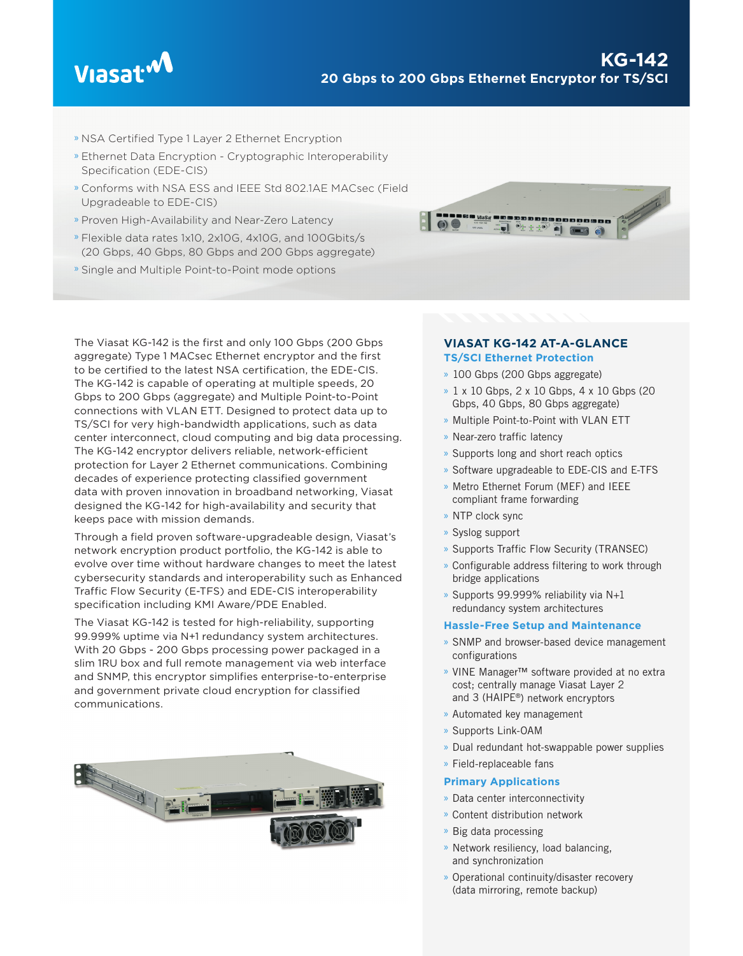

- » NSA Certified Type 1 Layer 2 Ethernet Encryption
- » Ethernet Data Encryption Cryptographic Interoperability Specification (EDE-CIS)
- » Conforms with NSA ESS and IEEE Std 802.1AE MACsec (Field Upgradeable to EDE-CIS)
- » Proven High-Availability and Near-Zero Latency
- » Flexible data rates 1x10, 2x10G, 4x10G, and 100Gbits/s (20 Gbps, 40 Gbps, 80 Gbps and 200 Gbps aggregate)
- » Single and Multiple Point-to-Point mode options



The Viasat KG-142 is the first and only 100 Gbps (200 Gbps aggregate) Type 1 MACsec Ethernet encryptor and the first to be certified to the latest NSA certification, the EDE-CIS. The KG-142 is capable of operating at multiple speeds, 20 Gbps to 200 Gbps (aggregate) and Multiple Point-to-Point connections with VLAN ETT. Designed to protect data up to TS/SCI for very high-bandwidth applications, such as data center interconnect, cloud computing and big data processing. The KG-142 encryptor delivers reliable, network-efficient protection for Layer 2 Ethernet communications. Combining decades of experience protecting classified government data with proven innovation in broadband networking, Viasat designed the KG-142 for high-availability and security that keeps pace with mission demands.

Through a field proven software-upgradeable design, Viasat's network encryption product portfolio, the KG-142 is able to evolve over time without hardware changes to meet the latest cybersecurity standards and interoperability such as Enhanced Traffic Flow Security (E-TFS) and EDE-CIS interoperability specification including KMI Aware/PDE Enabled.

The Viasat KG-142 is tested for high-reliability, supporting 99.999% uptime via N+1 redundancy system architectures. With 20 Gbps - 200 Gbps processing power packaged in a slim 1RU box and full remote management via web interface and SNMP, this encryptor simplifies enterprise-to-enterprise and government private cloud encryption for classified communications.



## **VIASAT KG-142 AT-A-GLANCE TS/SCI Ethernet Protection**

- » 100 Gbps (200 Gbps aggregate)
- » 1 x 10 Gbps, 2 x 10 Gbps, 4 x 10 Gbps (20 Gbps, 40 Gbps, 80 Gbps aggregate)
- » Multiple Point-to-Point with VLAN ETT
- » Near-zero traffic latency
- » Supports long and short reach optics
- » Software upgradeable to EDE-CIS and E-TFS
- » Metro Ethernet Forum (MEF) and IEEE compliant frame forwarding
- » NTP clock sync
- » Syslog support
- » Supports Traffic Flow Security (TRANSEC)
- » Configurable address filtering to work through bridge applications
- » Supports 99.999% reliability via N+1 redundancy system architectures

### **Hassle-Free Setup and Maintenance**

- » SNMP and browser-based device management configurations
- » VINE Manager™ software provided at no extra cost; centrally manage Viasat Layer 2 and 3 (HAIPE®) network encryptors
- » Automated key management
- » Supports Link-OAM
- » Dual redundant hot-swappable power supplies
- » Field-replaceable fans

### **Primary Applications**

- » Data center interconnectivity
- » Content distribution network
- » Big data processing
- » Network resiliency, load balancing, and synchronization
- » Operational continuity/disaster recovery (data mirroring, remote backup)